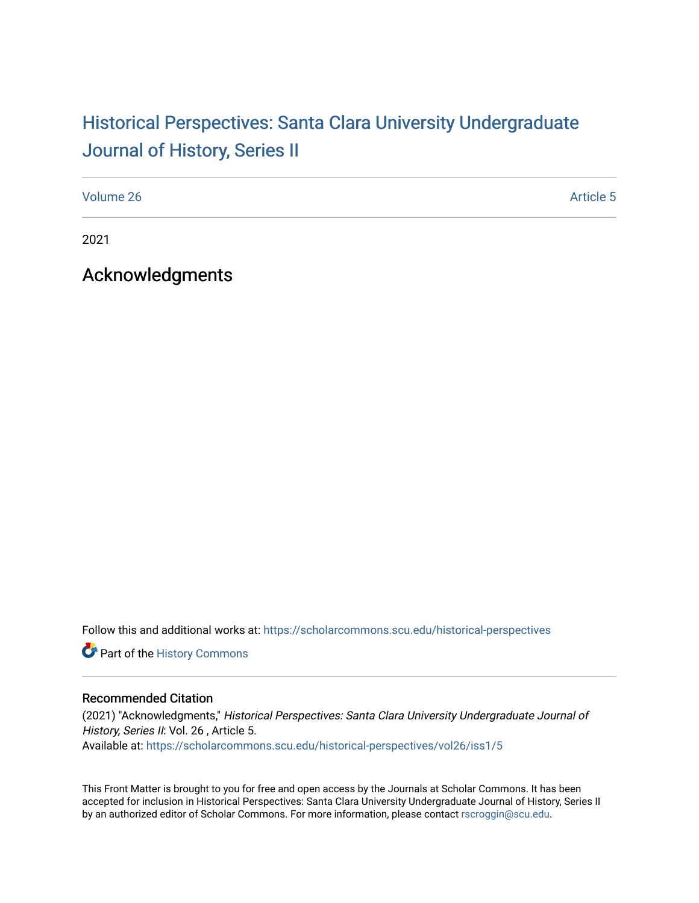## Historical Perspectiv[es: Santa Clara University Under](https://scholarcommons.scu.edu/historical-perspectives)graduate [Journal of History, Series II](https://scholarcommons.scu.edu/historical-perspectives)

[Volume 26](https://scholarcommons.scu.edu/historical-perspectives/vol26) Article 5

2021

Acknowledgments

Follow this and additional works at: [https://scholarcommons.scu.edu/historical-perspectives](https://scholarcommons.scu.edu/historical-perspectives?utm_source=scholarcommons.scu.edu%2Fhistorical-perspectives%2Fvol26%2Fiss1%2F5&utm_medium=PDF&utm_campaign=PDFCoverPages) 

Part of the [History Commons](http://network.bepress.com/hgg/discipline/489?utm_source=scholarcommons.scu.edu%2Fhistorical-perspectives%2Fvol26%2Fiss1%2F5&utm_medium=PDF&utm_campaign=PDFCoverPages) 

## Recommended Citation

(2021) "Acknowledgments," Historical Perspectives: Santa Clara University Undergraduate Journal of History, Series II: Vol. 26, Article 5. Available at: [https://scholarcommons.scu.edu/historical-perspectives/vol26/iss1/5](https://scholarcommons.scu.edu/historical-perspectives/vol26/iss1/5?utm_source=scholarcommons.scu.edu%2Fhistorical-perspectives%2Fvol26%2Fiss1%2F5&utm_medium=PDF&utm_campaign=PDFCoverPages) 

This Front Matter is brought to you for free and open access by the Journals at Scholar Commons. It has been accepted for inclusion in Historical Perspectives: Santa Clara University Undergraduate Journal of History, Series II by an authorized editor of Scholar Commons. For more information, please contact [rscroggin@scu.edu.](mailto:rscroggin@scu.edu)